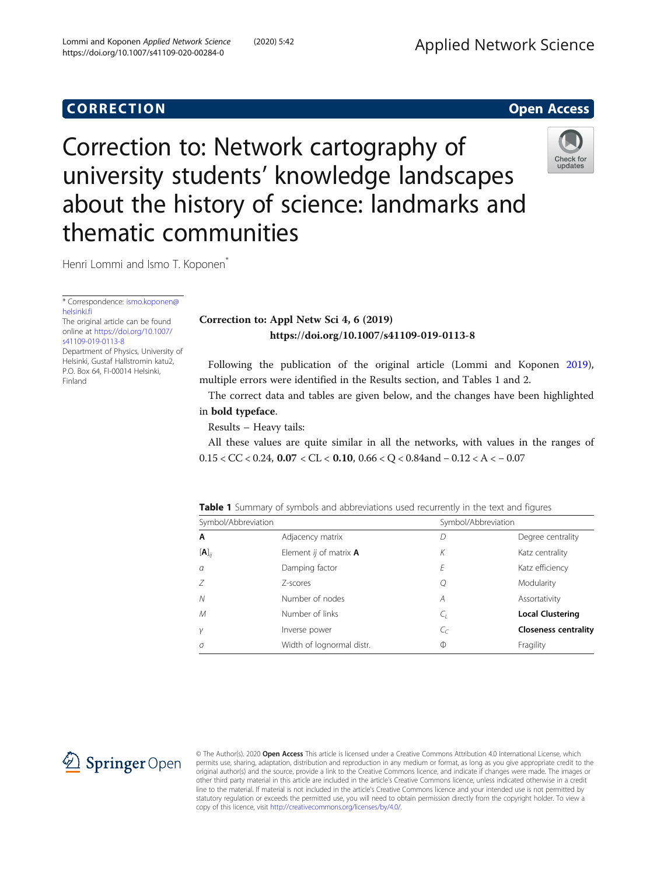thematic communities

**CORRECTION CORRECTION** 

## Correction to: Appl Netw Sci 4, 6 (2019) https://doi.org/10.1007/s41109-019-0113-8

Following the publication of the original article (Lommi and Koponen [2019](#page-1-0)), multiple errors were identified in the Results section, and Tables 1 and 2.

The correct data and tables are given below, and the changes have been highlighted in bold typeface.

Results – Heavy tails:

All these values are quite similar in all the networks, with values in the ranges of 0.15 < CC < 0.24, 0.07 < CL < 0.10, 0.66 < Q < 0.84and − 0.12 < A < − 0.07

| Symbol/Abbreviation |                                       | Symbol/Abbreviation |                   |
|---------------------|---------------------------------------|---------------------|-------------------|
| A                   | Adjacency matrix                      |                     | Degree centrality |
| $[A]_{ii}$          | Element ij of matrix $\boldsymbol{A}$ |                     | Katz centrality   |
| $\alpha$            | Damping factor                        |                     | Katz efficiency   |
|                     |                                       |                     |                   |

N Number of nodes A A Assortativity M Number of links C<sub>L</sub> C<sub>L</sub> **Local Clustering** <sup>γ</sup> Inverse power CC Closeness centrality

Width of lognormal distr.

© The Author(s). 2020 Open Access This article is licensed under a Creative Commons Attribution 4.0 International License, which permits use, sharing, adaptation, distribution and reproduction in any medium or format, as long as you give appropriate credit to the original author(s) and the source, provide a link to the Creative Commons licence, and indicate if changes were made. The images or other third party material in this article are included in the article's Creative Commons licence, unless indicated otherwise in a credit line to the material. If material is not included in the article's Creative Commons licence and your intended use is not permitted by statutory regulation or exceeds the permitted use, you will need to obtain permission directly from the copyright holder. To view a copy of this licence, visit <http://creativecommons.org/licenses/by/4.0/>.

| Symbol/Abbreviation      |   | Symbol/Abbreviation |  |  |  |  |
|--------------------------|---|---------------------|--|--|--|--|
| Adjacency matrix         |   | Degree cent         |  |  |  |  |
| Element ij of matrix $A$ | Κ | Katz centrali       |  |  |  |  |
| Damping factor           | F | Katz efficien       |  |  |  |  |
| 7-scores                 |   | Modularity          |  |  |  |  |
|                          |   |                     |  |  |  |  |



Correction to: Network cartography of

about the history of science: landmarks and

university students' knowledge landscapes

[helsinki.fi](mailto:ismo.koponen@helsinki.fi)

The original article can be found online at [https://doi.org/10.1007/](https://doi.org/10.1007/s41109-019-0113-8) [s41109-019-0113-8](https://doi.org/10.1007/s41109-019-0113-8) Department of Physics, University of Helsinki, Gustaf Hallstromin katu2, P.O. Box 64, FI-00014 Helsinki, Finland

\* Correspondence: [ismo.koponen@](mailto:ismo.koponen@helsinki.fi)

Henri Lommi and Ismo T. Koponen<sup>\*</sup>

 $\mathscr{L}$  Springer Open